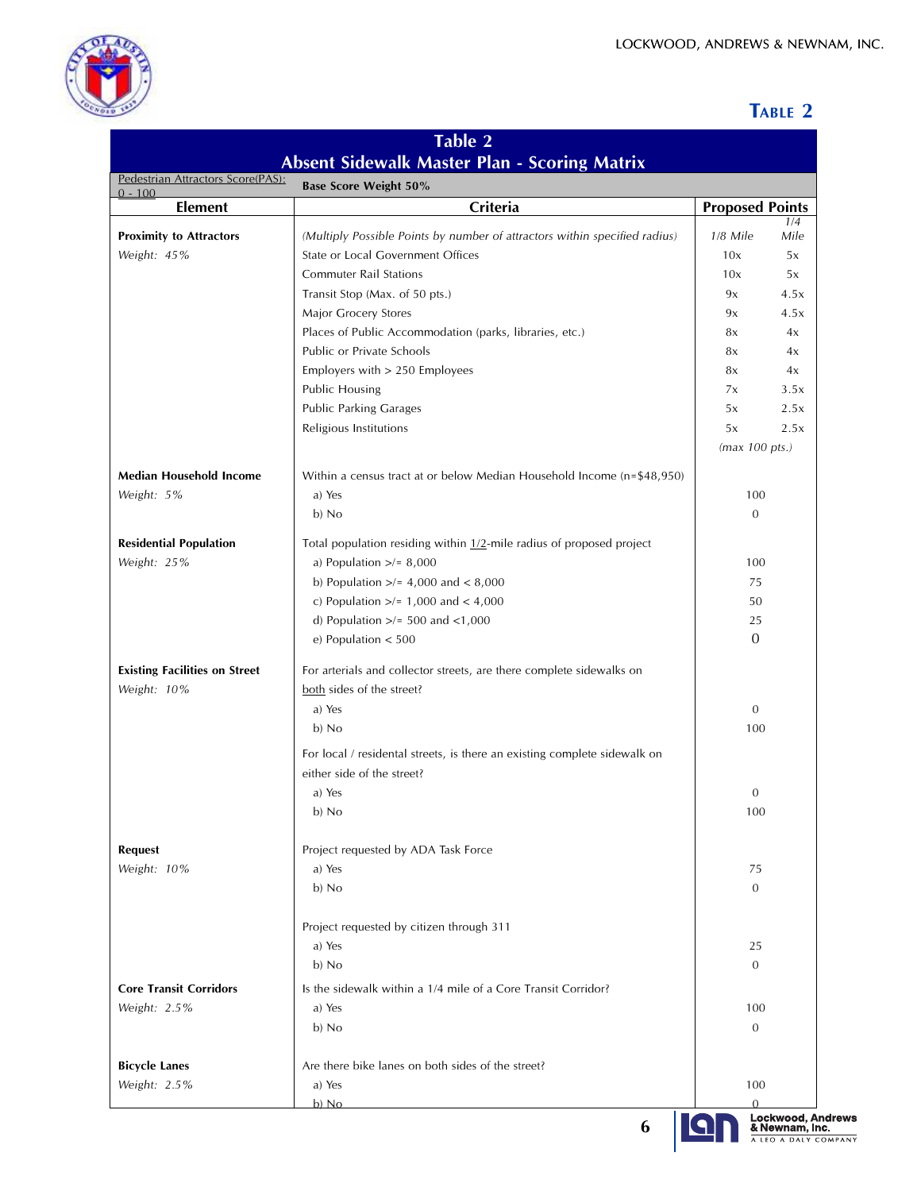

## **TABLE 2**

| Table 2<br><b>Absent Sidewalk Master Plan - Scoring Matrix</b> |                                                                            |                          |             |  |                                                                                |
|----------------------------------------------------------------|----------------------------------------------------------------------------|--------------------------|-------------|--|--------------------------------------------------------------------------------|
|                                                                |                                                                            |                          |             |  | Pedestrian Attractors Score(PAS):<br><b>Base Score Weight 50%</b><br>$0 - 100$ |
| <b>Element</b>                                                 | Criteria                                                                   | <b>Proposed Points</b>   |             |  |                                                                                |
| <b>Proximity to Attractors</b>                                 | (Multiply Possible Points by number of attractors within specified radius) | 1/8 Mile                 | 1/4<br>Mile |  |                                                                                |
| Weight: 45%                                                    | State or Local Government Offices                                          | 10x                      | 5x          |  |                                                                                |
|                                                                | <b>Commuter Rail Stations</b>                                              | 10x                      | 5x          |  |                                                                                |
|                                                                | Transit Stop (Max. of 50 pts.)                                             | 9x                       | 4.5x        |  |                                                                                |
|                                                                | Major Grocery Stores                                                       | 9x                       | 4.5x        |  |                                                                                |
|                                                                | Places of Public Accommodation (parks, libraries, etc.)                    | 8x                       | 4x          |  |                                                                                |
|                                                                | Public or Private Schools                                                  | 8x                       | 4x          |  |                                                                                |
|                                                                | Employers with > 250 Employees                                             | 8x                       | 4x          |  |                                                                                |
|                                                                | <b>Public Housing</b>                                                      | 7x                       | 3.5x        |  |                                                                                |
|                                                                | <b>Public Parking Garages</b>                                              | 5x                       | 2.5x        |  |                                                                                |
|                                                                | Religious Institutions                                                     | 5x                       | 2.5x        |  |                                                                                |
|                                                                |                                                                            | $(max 100 \text{ pts.})$ |             |  |                                                                                |
| Median Household Income                                        | Within a census tract at or below Median Household Income (n=\$48,950)     |                          |             |  |                                                                                |
| Weight: 5%                                                     | a) Yes                                                                     |                          |             |  |                                                                                |
|                                                                | b) No                                                                      | 100<br>$\mathbf{0}$      |             |  |                                                                                |
|                                                                |                                                                            |                          |             |  |                                                                                |
| <b>Residential Population</b>                                  | Total population residing within 1/2-mile radius of proposed project       |                          |             |  |                                                                                |
| Weight: 25%                                                    | a) Population $\ge$ /= 8,000                                               | 100                      |             |  |                                                                                |
|                                                                | b) Population $\frac{>}{=}$ 4,000 and < 8,000                              | 75                       |             |  |                                                                                |
|                                                                | c) Population $\frac{>}{=} 1,000$ and $\lt$ 4,000                          | 50                       |             |  |                                                                                |
|                                                                | d) Population $\ge$ /= 500 and <1,000                                      | 25                       |             |  |                                                                                |
|                                                                | e) Population $< 500$                                                      | $\mathbf{0}$             |             |  |                                                                                |
| <b>Existing Facilities on Street</b>                           | For arterials and collector streets, are there complete sidewalks on       |                          |             |  |                                                                                |
| Weight: 10%                                                    | both sides of the street?                                                  |                          |             |  |                                                                                |
|                                                                | a) Yes                                                                     | $\mathbf{0}$             |             |  |                                                                                |
|                                                                | b) No                                                                      | 100                      |             |  |                                                                                |
|                                                                | For local / residental streets, is there an existing complete sidewalk on  |                          |             |  |                                                                                |
|                                                                | either side of the street?                                                 |                          |             |  |                                                                                |
|                                                                | a) Yes                                                                     | $\mathbf{0}$             |             |  |                                                                                |
|                                                                | b) No                                                                      | 100                      |             |  |                                                                                |
|                                                                |                                                                            |                          |             |  |                                                                                |
| <b>Request</b>                                                 | Project requested by ADA Task Force                                        |                          |             |  |                                                                                |
| Weight: 10%                                                    | a) Yes                                                                     | 75                       |             |  |                                                                                |
|                                                                | b) No                                                                      | $\mathbf{0}$             |             |  |                                                                                |
|                                                                |                                                                            |                          |             |  |                                                                                |
|                                                                | Project requested by citizen through 311                                   |                          |             |  |                                                                                |
|                                                                | a) Yes                                                                     | 25                       |             |  |                                                                                |
|                                                                | b) No                                                                      | $\overline{0}$           |             |  |                                                                                |
| <b>Core Transit Corridors</b>                                  | Is the sidewalk within a 1/4 mile of a Core Transit Corridor?              |                          |             |  |                                                                                |
| Weight: 2.5%                                                   | a) Yes                                                                     | 100                      |             |  |                                                                                |
|                                                                | b) No                                                                      | $\mathbf{0}$             |             |  |                                                                                |
|                                                                |                                                                            |                          |             |  |                                                                                |
| <b>Bicycle Lanes</b>                                           | Are there bike lanes on both sides of the street?                          |                          |             |  |                                                                                |
| Weight: 2.5%                                                   | a) Yes                                                                     | 100<br>$\Omega$          |             |  |                                                                                |
|                                                                | b) No                                                                      |                          |             |  |                                                                                |

**6**

9